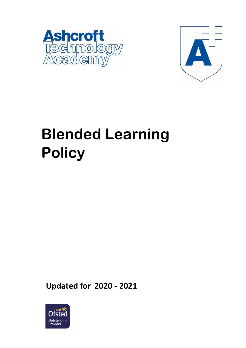



# **Blended Learning Policy**

**Updated for 2020 - 2021**

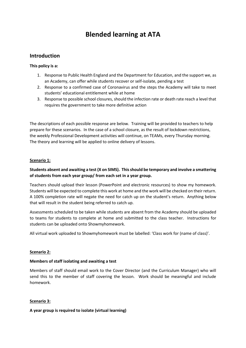# **Blended learning at ATA**

# **Introduction**

#### **This policy is a:**

- 1. Response to Public Health England and the Department for Education, and the support we, as an Academy, can offer while students recover or self-isolate, pending a test
- 2. Response to a confirmed case of Coronavirus and the steps the Academy will take to meet students' educational entitlement while at home
- 3. Response to possible school closures, should the infection rate or death rate reach a level that requires the government to take more definitive action

The descriptions of each possible response are below. Training will be provided to teachers to help prepare for these scenarios. In the case of a school closure, as the result of lockdown restrictions, the weekly Professional Development activities will continue, on TEAMs, every Thursday morning. The theory and learning will be applied to online delivery of lessons.

#### **Scenario 1:**

## **Students absent and awaiting a test (X on SIMS). This should be temporary and involve a smattering of students from each year group/ from each set in a year group.**

Teachers should upload their lesson (PowerPoint and electronic resources) to show my homework. Students will be expected to complete this work at home and the work will be checked on their return. A 100% completion rate will negate the need for catch up on the student's return. Anything below that will result in the student being referred to catch up.

Assessments scheduled to be taken while students are absent from the Academy should be uploaded to teams for students to complete at home and submitted to the class teacher. Instructions for students can be uploaded onto Showmyhomework.

All virtual work uploaded to Showmyhomework must be labelled: 'Class work for (name of class)'.

#### **Scenario 2:**

#### **Members of staff isolating and awaiting a test**

Members of staff should email work to the Cover Director (and the Curriculum Manager) who will send this to the member of staff covering the lesson. Work should be meaningful and include homework.

## **Scenario 3:**

## **A year group is required to isolate (virtual learning)**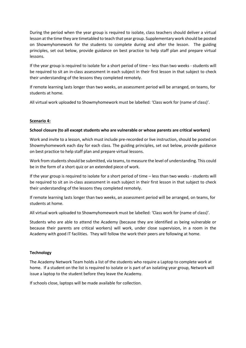During the period when the year group is required to isolate, class teachers should deliver a virtual lesson at the time they are timetabled to teach that year group. Supplementary work should be posted on Showmyhomework for the students to complete during and after the lesson. The guiding principles, set out below, provide guidance on best practice to help staff plan and prepare virtual lessons.

If the year group is required to isolate for a short period of time – less than two weeks - students will be required to sit an in-class assessment in each subject in their first lesson in that subject to check their understanding of the lessons they completed remotely.

If remote learning lasts longer than two weeks, an assessment period will be arranged, on teams, for students at home.

All virtual work uploaded to Showmyhomework must be labelled: 'Class work for (name of class)'.

#### **Scenario 4:**

#### **School closure (to all except students who are vulnerable or whose parents are critical workers)**

Work and invite to a lesson, which must include pre-recorded or live instruction, should be posted on Showmyhomework each day for each class. The guiding principles, set out below, provide guidance on best practice to help staff plan and prepare virtual lessons.

Work from students should be submitted, via teams, to measure the level of understanding. This could be in the form of a short quiz or an extended piece of work.

If the year group is required to isolate for a short period of time – less than two weeks - students will be required to sit an in-class assessment in each subject in their first lesson in that subject to check their understanding of the lessons they completed remotely.

If remote learning lasts longer than two weeks, an assessment period will be arranged, on teams, for students at home.

All virtual work uploaded to Showmyhomework must be labelled: 'Class work for (name of class)'.

Students who are able to attend the Academy (because they are identified as being vulnerable or because their parents are critical workers) will work, under close supervision, in a room in the Academy with good IT facilities. They will follow the work their peers are following at home.

#### **Technology**

The Academy Network Team holds a list of the students who require a Laptop to complete work at home. If a student on the list is required to isolate or is part of an isolating year group, Network will issue a laptop to the student before they leave the Academy.

If schools close, laptops will be made available for collection.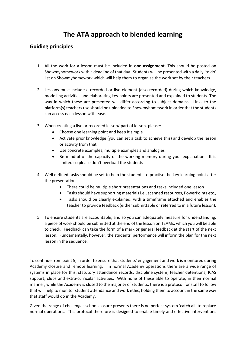# **The ATA approach to blended learning**

# **Guiding principles**

- 1. All the work for a lesson must be included in **one assignment.** This should be posted on Showmyhomework with a deadline of that day. Students will be presented with a daily 'to do' list on Showmyhomework which will help them to organise the work set by their teachers.
- 2. Lessons must include a recorded or live element (also recorded) during which knowledge, modelling activities and elaborating key points are presented and explained to students. The way in which these are presented will differ according to subject domains. Links to the platform(s) teachers use should be uploaded to Showmyhomework in order that the students can access each lesson with ease.
- 3. When creating a live or recorded lesson/ part of lesson, please:
	- Choose one learning point and keep it simple
	- Activate prior knowledge (you can set a task to achieve this) and develop the lesson or activity from that
	- Use concrete examples, multiple examples and analogies
	- Be mindful of the capacity of the working memory during your explanation. It is limited so please don't overload the students
- 4. Well defined tasks should be set to help the students to practise the key learning point after the presentation.
	- There could be multiple short presentations and tasks included one lesson
	- Tasks should have supporting materials i.e., scanned resources, PowerPoints etc.,
	- Tasks should be clearly explained, with a timeframe attached and enables the teacher to provide feedback (either submittable or referred to in a future lesson).
- 5. To ensure students are accountable, and so you can adequately measure for understanding, a piece of work should be submitted at the end of the lesson on TEAMs, which you will be able to check. Feedback can take the form of a mark or general feedback at the start of the next lesson. Fundamentally, however, the students' performance will inform the plan for the next lesson in the sequence.

To continue from point 5, in order to ensure that students' engagement and work is monitored during Academy closure and remote learning. In normal Academy operations there are a wide range of systems in place for this: statutory attendance records; discipline system; teacher detentions; ICAS support; clubs and extra-curricular activities. With none of these able to operate, in their normal manner, while the Academy is closed to the majority of students, there is a protocol for staff to follow that will help to monitor student attendance and work ethic, holding them to account in the same way that staff would do in the Academy.

Given the range of challenges school closure presents there is no perfect system 'catch all' to replace normal operations. This protocol therefore is designed to enable timely and effective interventions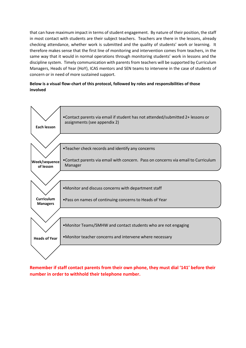that can have maximum impact in terms of student engagement. By nature of their position, the staff in most contact with students are their subject teachers. Teachers are there in the lessons, already checking attendance, whether work is submitted and the quality of students' work or learning. It therefore makes sense that the first line of monitoring and intervention comes from teachers, in the same way that it would in normal operations through monitoring students' work in lessons and the discipline system. Timely communication with parents from teachers will be supported by Curriculum Managers, Heads of Year (HoY), ICAS mentors and SEN teams to intervene in the case of students of concern or in need of more sustained support.

## **Below is a visual flow-chart of this protocol, followed by roles and responsibilities of those involved**



**Remember if staff contact parents from their own phone, they must dial '141' before their number in order to withhold their telephone number.**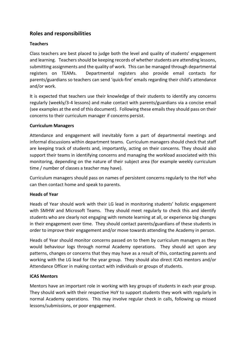# **Roles and responsibilities**

# **Teachers**

Class teachers are best placed to judge both the level and quality of students' engagement and learning. Teachers should be keeping records of whether students are attending lessons, submitting assignments and the quality of work. This can be managed through departmental registers on TEAMs. Departmental registers also provide email contacts for parents/guardians so teachers can send 'quick-fire' emails regarding their child's attendance and/or work.

It is expected that teachers use their knowledge of their students to identify any concerns regularly (weekly/3-4 lessons) and make contact with parents/guardians via a concise email (see examples at the end of this document). Following these emails they should pass on their concerns to their curriculum manager if concerns persist.

# **Curriculum Managers**

Attendance and engagement will inevitably form a part of departmental meetings and informal discussions within department teams. Curriculum managers should check that staff are keeping track of students and, importantly, acting on their concerns. They should also support their teams in identifying concerns and managing the workload associated with this monitoring, depending on the nature of their subject area (for example weekly curriculum time / number of classes a teacher may have).

Curriculum managers should pass on names of persistent concerns regularly to the HoY who can then contact home and speak to parents.

# **Heads of Year**

Heads of Year should work with their LG lead in monitoring students' holistic engagement with SMHW and Microsoft Teams. They should meet regularly to check this and identify students who are clearly not engaging with remote learning at all, or experience big changes in their engagement over time. They should contact parents/guardians of these students in order to improve their engagement and/or move towards attending the Academy in person.

Heads of Year should monitor concerns passed on to them by curriculum managers as they would behaviour logs through normal Academy operations. They should act upon any patterns, changes or concerns that they may have as a result of this, contacting parents and working with the LG lead for the year group. They should also direct ICAS mentors and/or Attendance Officer in making contact with individuals or groups of students.

# **ICAS Mentors**

Mentors have an important role in working with key groups of students in each year group. They should work with their respective HoY to support students they work with regularly in normal Academy operations. This may involve regular check in calls, following up missed lessons/submissions, or poor engagement.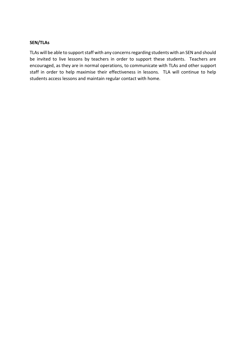## **SEN/TLAs**

TLAs will be able to support staff with any concerns regarding students with an SEN and should be invited to live lessons by teachers in order to support these students. Teachers are encouraged, as they are in normal operations, to communicate with TLAs and other support staff in order to help maximise their effectiveness in lessons. TLA will continue to help students access lessons and maintain regular contact with home.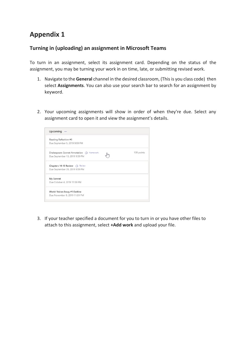# **Appendix 1**

# **Turning in (uploading) an assignment in Microsoft Teams**

To turn in an assignment, select its assignment card. Depending on the status of the assignment, you may be turning your work in on time, late, or submitting revised work.

- 1. Navigate to the **General** channel in the desired classroom, (Thisis you class code) then select **Assignments**. You can also use your search bar to search for an assignment by keyword.
- 2. Your upcoming assignments will show in order of when they're due. Select any assignment card to open it and view the assignment's details.



3. If your teacher specified a document for you to turn in or you have other files to attach to this assignment, select **+Add work** and upload your file.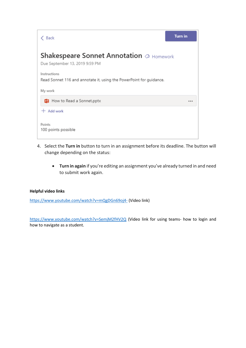

- 4. Select the **Turn in** button to turn in an assignment before its deadline. The button will change depending on the status:
	- **Turn in again** if you're editing an assignment you've already turned in and need to submit work again.

## **Helpful video links**

<https://www.youtube.com/watch?v=mQgDGn69oj4-> (Video link)

<https://www.youtube.com/watch?v=SemjM2fHV2Q> (Video link for using teams- how to login and how to navigate as a student.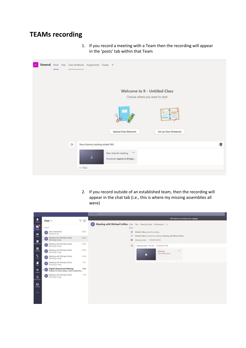# **TEAMs recording**

1. If you record a meeting with a Team then the recording will appear in the 'posts' tab within that Team



2. If you record outside of an established team, then the recording will appear in the chat tab (i.e., this is where my missing assemblies all were)